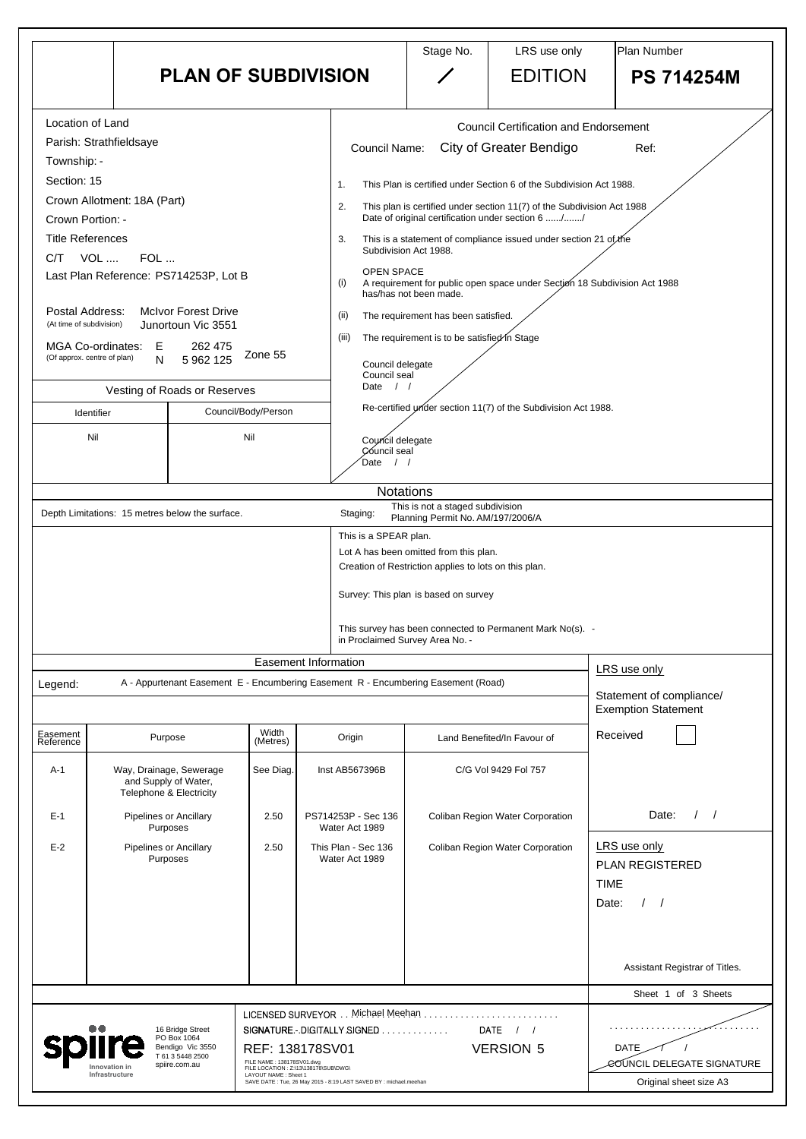|                                             |                                                                                            |                                                  |                                                                                            | <b>PLAN OF SUBDIVISION</b>                                                        | Stage No.                                                                                                                                                                                                                      | LRS use only<br><b>EDITION</b>                                            | Plan Number<br><b>PS 714254M</b>                     |  |
|---------------------------------------------|--------------------------------------------------------------------------------------------|--------------------------------------------------|--------------------------------------------------------------------------------------------|-----------------------------------------------------------------------------------|--------------------------------------------------------------------------------------------------------------------------------------------------------------------------------------------------------------------------------|---------------------------------------------------------------------------|------------------------------------------------------|--|
| <b>Location of Land</b>                     |                                                                                            |                                                  |                                                                                            |                                                                                   |                                                                                                                                                                                                                                | <b>Council Certification and Endorsement</b>                              |                                                      |  |
| Parish: Strathfieldsaye<br>Township: -      |                                                                                            |                                                  |                                                                                            | <b>Council Name:</b>                                                              |                                                                                                                                                                                                                                | <b>City of Greater Bendigo</b>                                            | Ref:                                                 |  |
| Section: 15                                 |                                                                                            |                                                  |                                                                                            | 1 <sub>1</sub>                                                                    | This Plan is certified under Section 6 of the Subdivision Act 1988.                                                                                                                                                            |                                                                           |                                                      |  |
| Crown Portion: -                            | Crown Allotment: 18A (Part)                                                                |                                                  |                                                                                            | 2.                                                                                | This plan is certified under section 11(7) of the Subdivision Act 1988<br>Date of original certification under section 6 //<br>3.<br>This is a statement of compliance issued under section 21 of the<br>Subdivision Act 1988. |                                                                           |                                                      |  |
| <b>Title References</b><br>VOL<br>C/T       | FOL                                                                                        |                                                  |                                                                                            |                                                                                   |                                                                                                                                                                                                                                |                                                                           |                                                      |  |
|                                             | Last Plan Reference: PS714253P, Lot B                                                      |                                                  |                                                                                            | <b>OPEN SPACE</b><br>(i)                                                          | has/has not been made.                                                                                                                                                                                                         | A requirement for public open space under Section 18 Subdivision Act 1988 |                                                      |  |
| Postal Address:<br>(At time of subdivision) |                                                                                            | <b>McIvor Forest Drive</b><br>Junortoun Vic 3551 |                                                                                            | (ii)<br>(iii)                                                                     | The requirement has been satisfied.                                                                                                                                                                                            |                                                                           |                                                      |  |
|                                             | MGA Co-ordinates: E<br>262 475<br>Zone 55<br>(Of approx. centre of plan)<br>5 962 125<br>N |                                                  |                                                                                            |                                                                                   | The requirement is to be satisfied in Stage<br>Council delegate                                                                                                                                                                |                                                                           |                                                      |  |
|                                             | Vesting of Roads or Reserves                                                               |                                                  |                                                                                            |                                                                                   | Council seal<br>Date $/$ /                                                                                                                                                                                                     |                                                                           |                                                      |  |
| Identifier                                  |                                                                                            |                                                  | Council/Body/Person                                                                        |                                                                                   |                                                                                                                                                                                                                                | Re-certified under section 11(7) of the Subdivision Act 1988.             |                                                      |  |
| Nil                                         |                                                                                            |                                                  | Nil                                                                                        | Council delegate<br>Council seal<br>Date<br>$\left  \right $                      |                                                                                                                                                                                                                                |                                                                           |                                                      |  |
|                                             |                                                                                            |                                                  |                                                                                            | <b>Notations</b>                                                                  |                                                                                                                                                                                                                                |                                                                           |                                                      |  |
|                                             | Depth Limitations: 15 metres below the surface.                                            |                                                  |                                                                                            | Staging:                                                                          | This is not a staged subdivision<br>Planning Permit No. AM/197/2006/A                                                                                                                                                          |                                                                           |                                                      |  |
|                                             |                                                                                            |                                                  |                                                                                            | This is a SPEAR plan.                                                             |                                                                                                                                                                                                                                |                                                                           |                                                      |  |
|                                             |                                                                                            |                                                  |                                                                                            |                                                                                   | Lot A has been omitted from this plan.<br>Creation of Restriction applies to lots on this plan.                                                                                                                                |                                                                           |                                                      |  |
|                                             |                                                                                            |                                                  |                                                                                            |                                                                                   | Survey: This plan is based on survey                                                                                                                                                                                           |                                                                           |                                                      |  |
|                                             |                                                                                            |                                                  |                                                                                            | in Proclaimed Survey Area No. -                                                   |                                                                                                                                                                                                                                | This survey has been connected to Permanent Mark No(s). -                 |                                                      |  |
|                                             |                                                                                            |                                                  |                                                                                            | <b>Easement Information</b>                                                       |                                                                                                                                                                                                                                |                                                                           | LRS use only                                         |  |
| Legend:                                     |                                                                                            |                                                  |                                                                                            | A - Appurtenant Easement E - Encumbering Easement R - Encumbering Easement (Road) |                                                                                                                                                                                                                                |                                                                           | Statement of compliance/                             |  |
|                                             |                                                                                            |                                                  |                                                                                            |                                                                                   |                                                                                                                                                                                                                                |                                                                           | <b>Exemption Statement</b>                           |  |
| Easement<br>Reference                       | Purpose                                                                                    |                                                  | Width<br>(Metres)                                                                          | Origin                                                                            |                                                                                                                                                                                                                                | Land Benefited/In Favour of                                               | Received                                             |  |
| $A-1$                                       | Way, Drainage, Sewerage<br>and Supply of Water,<br><b>Telephone &amp; Electricity</b>      |                                                  | See Diag.                                                                                  | Inst AB567396B                                                                    |                                                                                                                                                                                                                                | C/G Vol 9429 Fol 757                                                      |                                                      |  |
| $E-1$                                       | <b>Pipelines or Ancillary</b><br>Purposes                                                  |                                                  | 2.50                                                                                       | PS714253P - Sec 136<br>Water Act 1989                                             |                                                                                                                                                                                                                                | <b>Coliban Region Water Corporation</b>                                   | Date:                                                |  |
| $E-2$                                       | <b>Pipelines or Ancillary</b><br>Purposes                                                  |                                                  | 2.50                                                                                       | This Plan - Sec 136<br>Water Act 1989                                             |                                                                                                                                                                                                                                | <b>Coliban Region Water Corporation</b>                                   | LRS use only<br><b>PLAN REGISTERED</b>               |  |
|                                             |                                                                                            |                                                  |                                                                                            |                                                                                   |                                                                                                                                                                                                                                |                                                                           | <b>TIME</b>                                          |  |
|                                             |                                                                                            |                                                  |                                                                                            |                                                                                   |                                                                                                                                                                                                                                |                                                                           | Date:                                                |  |
|                                             |                                                                                            |                                                  |                                                                                            |                                                                                   |                                                                                                                                                                                                                                |                                                                           |                                                      |  |
|                                             |                                                                                            |                                                  |                                                                                            |                                                                                   |                                                                                                                                                                                                                                |                                                                           | Assistant Registrar of Titles.                       |  |
|                                             |                                                                                            |                                                  |                                                                                            |                                                                                   |                                                                                                                                                                                                                                |                                                                           | Sheet 1 of 3 Sheets                                  |  |
|                                             |                                                                                            | 16 Bridge Street                                 |                                                                                            | LICENSED SURVEYOR Michael Meehan<br>SIGNATURE.-.DIGITALLY SIGNED                  |                                                                                                                                                                                                                                | DATE $/$ /                                                                | .                                                    |  |
|                                             | PO Box 1064                                                                                | Bendigo Vic 3550<br>T 61 3 5448 2500             | REF: 138178SV01                                                                            |                                                                                   |                                                                                                                                                                                                                                | <b>VERSION 5</b>                                                          | DATE                                                 |  |
|                                             |                                                                                            |                                                  |                                                                                            |                                                                                   |                                                                                                                                                                                                                                |                                                                           |                                                      |  |
|                                             | spiire.com.au<br>Innovation in<br>Infrastructure                                           |                                                  | FILE NAME: 138178SV01.dwg<br>FILE LOCATION : Z:\13\138178\SUB\DWG\<br>LAYOUT NAME: Sheet 1 | SAVE DATE: Tue, 26 May 2015 - 8:19 LAST SAVED BY : michael.meehan                 |                                                                                                                                                                                                                                |                                                                           | COUNCIL DELEGATE SIGNATURE<br>Original sheet size A3 |  |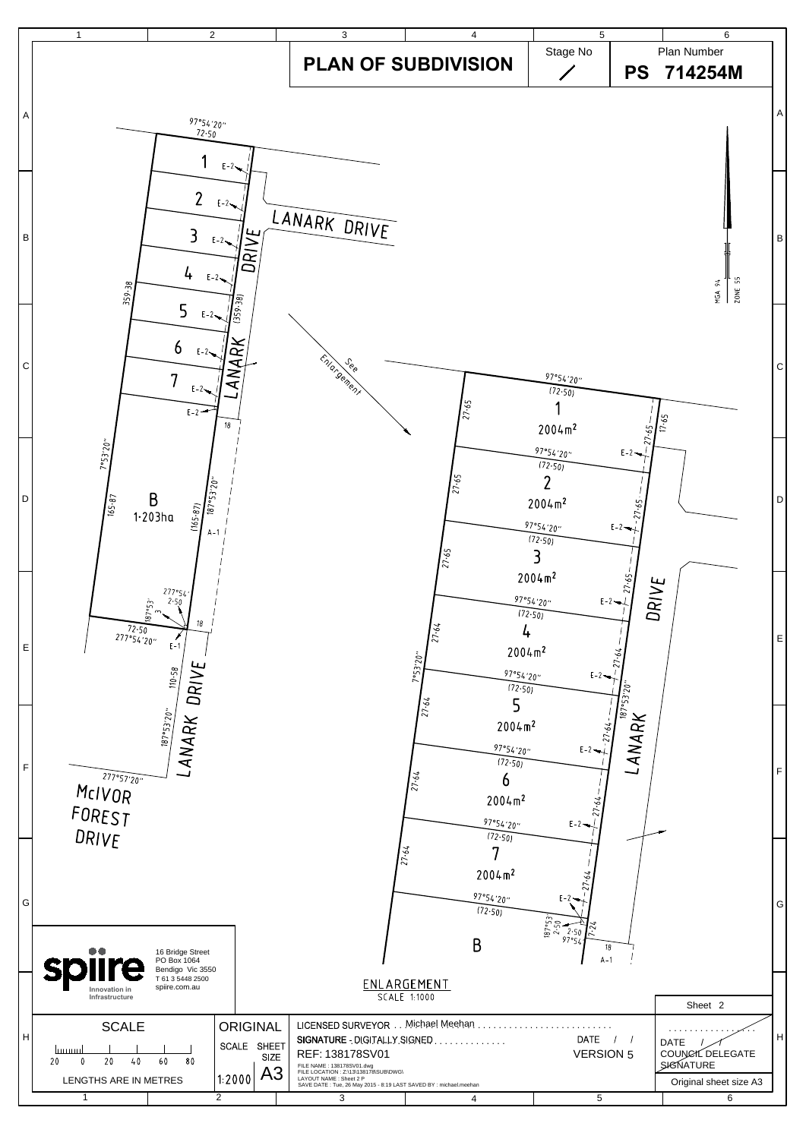

| G   | $\bullet\bullet$<br>16 Bridge Street<br>PO Box 1064<br><b>splire</b><br>Bendigo Vic 3550 |                                                                          | $\sim$                                                                                                                                                                                                                                     | 2004 m <sup>2</sup><br>97°54′20″<br>(72.50)<br>B | $E-2$ $\rightarrow$<br>$\frac{187°53}{2.50}$<br>۶7°5<br>18<br>$A-1$ |                                                                               | G |  |
|-----|------------------------------------------------------------------------------------------|--------------------------------------------------------------------------|--------------------------------------------------------------------------------------------------------------------------------------------------------------------------------------------------------------------------------------------|--------------------------------------------------|---------------------------------------------------------------------|-------------------------------------------------------------------------------|---|--|
|     | T 61 3 5448 2500<br>spiire.com.au<br>Innovation in<br>Infrastructure                     |                                                                          | ENLARGEMENT<br>SCALE 1:1000                                                                                                                                                                                                                |                                                  |                                                                     | Sheet 2                                                                       |   |  |
| lн. | <b>SCALE</b><br>1111111111<br>20<br>60<br>20<br>80<br>40<br>LENGTHS ARE IN METRES        | <b>ORIGINAL</b><br><b>SHEET</b><br>SCALE<br><b>SIZE</b><br>A3<br> 1:2000 | LICENSED SURVEYOR.<br>SIGNATURE DIGITALLY SIGNED<br>REF: 138178SV01<br>FILE NAME: 138178SV01.dwg<br>FILE LOCATION : Z:\13\138178\SUB\DWG\<br>LAYOUT NAME : Sheet 2 P<br>SAVE DATE : Tue, 26 May 2015 - 8:19 LAST SAVED BY : michael.meehan | Michael Meehan                                   | DATE<br><b>VERSION 5</b>                                            | <b>DATE</b><br>COUNCIL DELEGATE<br><b>SIGNATURE</b><br>Original sheet size A3 | H |  |
|     |                                                                                          | $\overline{2}$                                                           |                                                                                                                                                                                                                                            |                                                  | 5                                                                   | 6                                                                             |   |  |